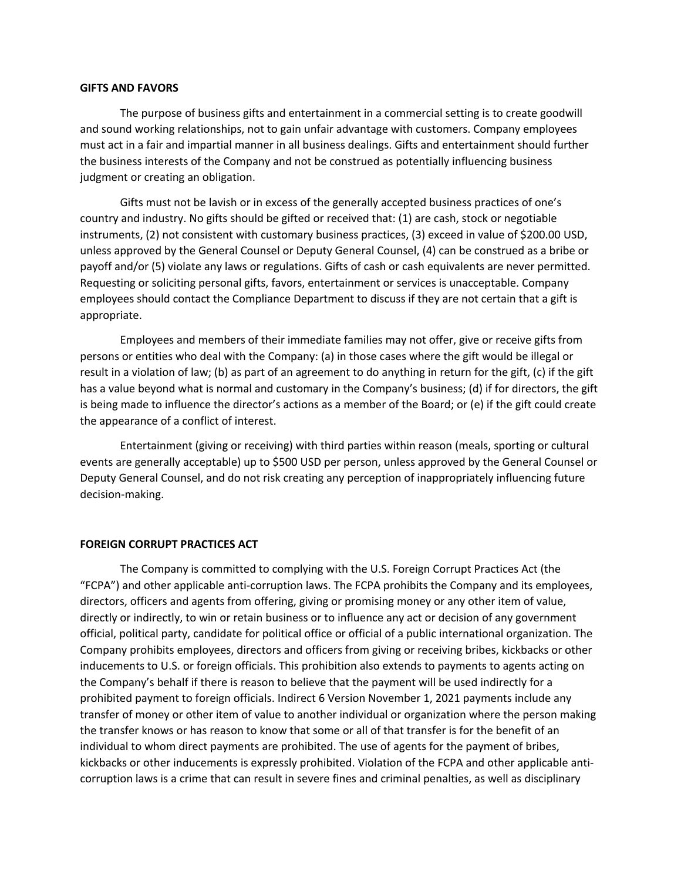## **GIFTS AND FAVORS**

The purpose of business gifts and entertainment in a commercial setting is to create goodwill and sound working relationships, not to gain unfair advantage with customers. Company employees must act in a fair and impartial manner in all business dealings. Gifts and entertainment should further the business interests of the Company and not be construed as potentially influencing business judgment or creating an obligation.

Gifts must not be lavish or in excess of the generally accepted business practices of one's country and industry. No gifts should be gifted or received that: (1) are cash, stock or negotiable instruments, (2) not consistent with customary business practices, (3) exceed in value of \$200.00 USD, unless approved by the General Counsel or Deputy General Counsel, (4) can be construed as a bribe or payoff and/or (5) violate any laws or regulations. Gifts of cash or cash equivalents are never permitted. Requesting or soliciting personal gifts, favors, entertainment or services is unacceptable. Company employees should contact the Compliance Department to discuss if they are not certain that a gift is appropriate.

Employees and members of their immediate families may not offer, give or receive gifts from persons or entities who deal with the Company: (a) in those cases where the gift would be illegal or result in a violation of law; (b) as part of an agreement to do anything in return for the gift, (c) if the gift has a value beyond what is normal and customary in the Company's business; (d) if for directors, the gift is being made to influence the director's actions as a member of the Board; or (e) if the gift could create the appearance of a conflict of interest.

Entertainment (giving or receiving) with third parties within reason (meals, sporting or cultural events are generally acceptable) up to \$500 USD per person, unless approved by the General Counsel or Deputy General Counsel, and do not risk creating any perception of inappropriately influencing future decision-making.

## **FOREIGN CORRUPT PRACTICES ACT**

The Company is committed to complying with the U.S. Foreign Corrupt Practices Act (the "FCPA") and other applicable anti-corruption laws. The FCPA prohibits the Company and its employees, directors, officers and agents from offering, giving or promising money or any other item of value, directly or indirectly, to win or retain business or to influence any act or decision of any government official, political party, candidate for political office or official of a public international organization. The Company prohibits employees, directors and officers from giving or receiving bribes, kickbacks or other inducements to U.S. or foreign officials. This prohibition also extends to payments to agents acting on the Company's behalf if there is reason to believe that the payment will be used indirectly for a prohibited payment to foreign officials. Indirect 6 Version November 1, 2021 payments include any transfer of money or other item of value to another individual or organization where the person making the transfer knows or has reason to know that some or all of that transfer is for the benefit of an individual to whom direct payments are prohibited. The use of agents for the payment of bribes, kickbacks or other inducements is expressly prohibited. Violation of the FCPA and other applicable anticorruption laws is a crime that can result in severe fines and criminal penalties, as well as disciplinary